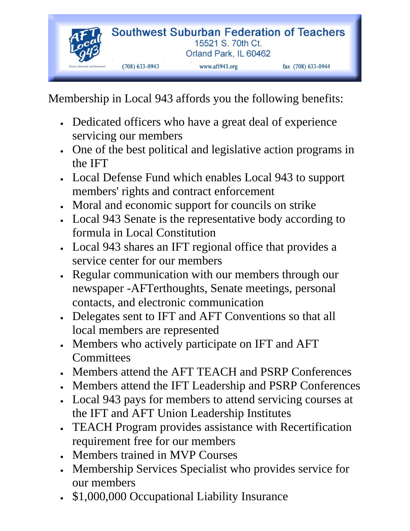

Membership in Local 943 affords you the following benefits:

- Dedicated officers who have a great deal of experience servicing our members
- One of the best political and legislative action programs in the IFT
- Local Defense Fund which enables Local 943 to support members' rights and contract enforcement
- Moral and economic support for councils on strike
- Local 943 Senate is the representative body according to formula in Local Constitution
- Local 943 shares an IFT regional office that provides a service center for our members
- Regular communication with our members through our newspaper -AFTerthoughts, Senate meetings, personal contacts, and electronic communication
- Delegates sent to IFT and AFT Conventions so that all local members are represented
- Members who actively participate on IFT and AFT **Committees**
- Members attend the AFT TEACH and PSRP Conferences
- Members attend the IFT Leadership and PSRP Conferences
- Local 943 pays for members to attend servicing courses at the IFT and AFT Union Leadership Institutes
- TEACH Program provides assistance with Recertification requirement free for our members
- Members trained in MVP Courses
- Membership Services Specialist who provides service for our members
- \$1,000,000 Occupational Liability Insurance